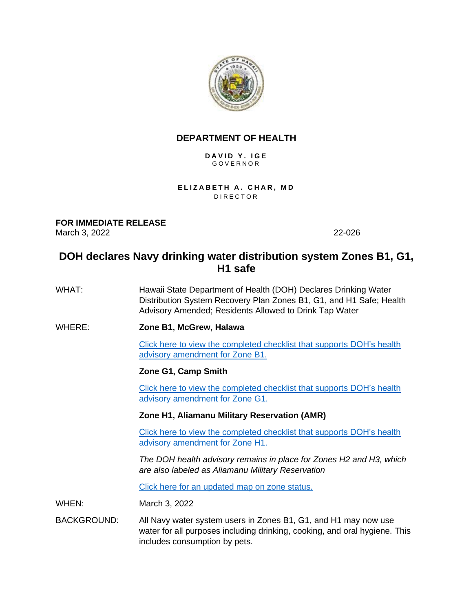

## **DEPARTMENT OF HEALTH**

#### **D A V I D Y . I G E** G O V E R N O R

**ELIZABETH A. CHAR, MD DIRECTOR** 

**FOR IMMEDIATE RELEASE** March 3, 2022 22-026

# **DOH declares Navy drinking water distribution system Zones B1, G1, H1 safe**

- WHAT: Hawaii State Department of Health (DOH) Declares Drinking Water Distribution System Recovery Plan Zones B1, G1, and H1 Safe; Health Advisory Amended; Residents Allowed to Drink Tap Water
- WHERE: **Zone B1, McGrew, Halawa**

[Click here to view the completed checklist that supports](http://health.hawaii.gov/about/files/2022/03/22-026-LG-DOHAmendmentMemoZoneB1WithEncls.pdf) DOH's health [advisory amendment for Zone B1.](http://health.hawaii.gov/about/files/2022/03/22-026-LG-DOHAmendmentMemoZoneB1WithEncls.pdf)

## **Zone G1, Camp Smith**

[Click here to view the completed checklist that supports](http://health.hawaii.gov/about/files/2022/03/22-027-LG-DOHAmendmentMemoZoneG1WithEncls.pdf) DOH's health [advisory amendment for Zone G1.](http://health.hawaii.gov/about/files/2022/03/22-027-LG-DOHAmendmentMemoZoneG1WithEncls.pdf)

#### **Zone H1, Aliamanu Military Reservation (AMR)**

[Click here to view the completed checklist that supports DOH's health](http://health.hawaii.gov/about/files/2022/03/22-028-LG-DOHAmendmentMemoZoneH1WithEncls.pdf)  [advisory amendment for Zone H1.](http://health.hawaii.gov/about/files/2022/03/22-028-LG-DOHAmendmentMemoZoneH1WithEncls.pdf)

*The DOH health advisory remains in place for Zones H2 and H3, which are also labeled as Aliamanu Military Reservation*

[Click here for an updated map on zone status.](http://health.hawaii.gov/about/files/2022/03/SR2022-021-PUBLIC-DOH-IDWST-Water-Flushing-Status-20220303-scaled.jpg)

WHEN: March 3, 2022

BACKGROUND: All Navy water system users in Zones B1, G1, and H1 may now use water for all purposes including drinking, cooking, and oral hygiene. This includes consumption by pets.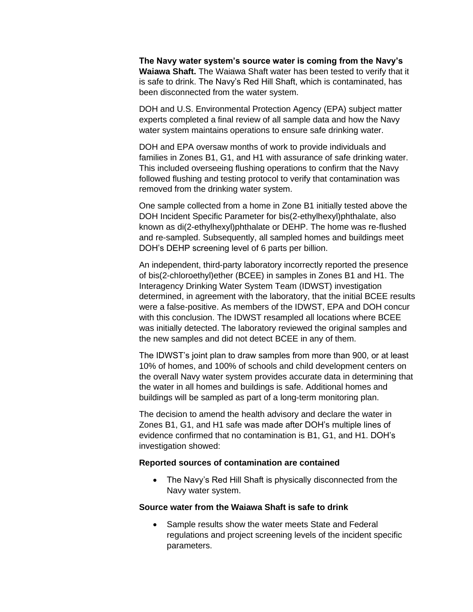**The Navy water system's source water is coming from the Navy's Waiawa Shaft.** The Waiawa Shaft water has been tested to verify that it is safe to drink. The Navy's Red Hill Shaft, which is contaminated, has been disconnected from the water system.

DOH and U.S. Environmental Protection Agency (EPA) subject matter experts completed a final review of all sample data and how the Navy water system maintains operations to ensure safe drinking water.

DOH and EPA oversaw months of work to provide individuals and families in Zones B1, G1, and H1 with assurance of safe drinking water. This included overseeing flushing operations to confirm that the Navy followed flushing and testing protocol to verify that contamination was removed from the drinking water system.

One sample collected from a home in Zone B1 initially tested above the DOH Incident Specific Parameter for bis(2-ethylhexyl)phthalate, also known as di(2-ethylhexyl)phthalate or DEHP. The home was re-flushed and re-sampled. Subsequently, all sampled homes and buildings meet DOH's DEHP screening level of 6 parts per billion.

An independent, third-party laboratory incorrectly reported the presence of bis(2-chloroethyl)ether (BCEE) in samples in Zones B1 and H1. The Interagency Drinking Water System Team (IDWST) investigation determined, in agreement with the laboratory, that the initial BCEE results were a false-positive. As members of the IDWST, EPA and DOH concur with this conclusion. The IDWST resampled all locations where BCEE was initially detected. The laboratory reviewed the original samples and the new samples and did not detect BCEE in any of them.

The IDWST's joint plan to draw samples from more than 900, or at least 10% of homes, and 100% of schools and child development centers on the overall Navy water system provides accurate data in determining that the water in all homes and buildings is safe. Additional homes and buildings will be sampled as part of a long-term monitoring plan.

The decision to amend the health advisory and declare the water in Zones B1, G1, and H1 safe was made after DOH's multiple lines of evidence confirmed that no contamination is B1, G1, and H1. DOH's investigation showed:

#### **Reported sources of contamination are contained**

• The Navy's Red Hill Shaft is physically disconnected from the Navy water system.

#### **Source water from the Waiawa Shaft is safe to drink**

• Sample results show the water meets State and Federal regulations and project screening levels of the incident specific parameters.